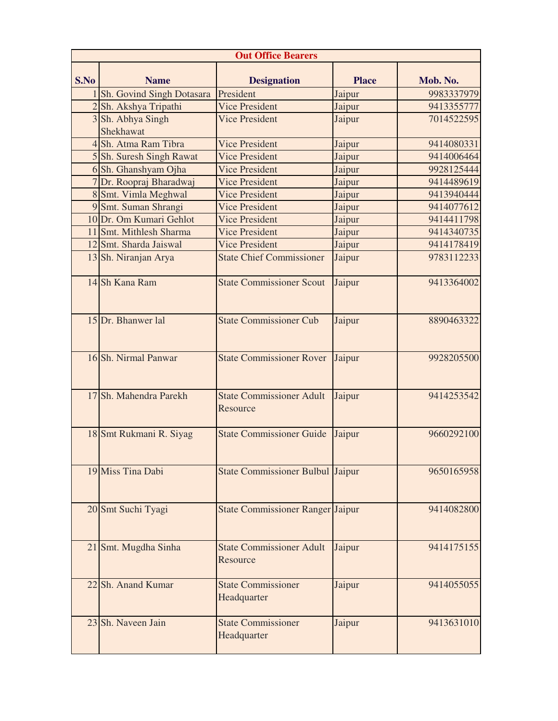| <b>Out Office Bearers</b> |                           |                                             |              |            |  |
|---------------------------|---------------------------|---------------------------------------------|--------------|------------|--|
| S.No                      | <b>Name</b>               | <b>Designation</b>                          | <b>Place</b> | Mob. No.   |  |
|                           | Sh. Govind Singh Dotasara | President                                   | Jaipur       | 9983337979 |  |
|                           | 2 Sh. Akshya Tripathi     | <b>Vice President</b>                       | Jaipur       | 9413355777 |  |
|                           | 3 Sh. Abhya Singh         | <b>Vice President</b>                       | Jaipur       | 7014522595 |  |
|                           | <b>Shekhawat</b>          |                                             |              |            |  |
|                           | 4 Sh. Atma Ram Tibra      | <b>Vice President</b>                       | Jaipur       | 9414080331 |  |
|                           | 5 Sh. Suresh Singh Rawat  | <b>Vice President</b>                       | Jaipur       | 9414006464 |  |
|                           | 6 Sh. Ghanshyam Ojha      | <b>Vice President</b>                       | Jaipur       | 9928125444 |  |
|                           | Dr. Roopraj Bharadwaj     | <b>Vice President</b>                       | Jaipur       | 9414489619 |  |
|                           | 8 Smt. Vimla Meghwal      | <b>Vice President</b>                       | Jaipur       | 9413940444 |  |
|                           | 9 Smt. Suman Shrangi      | <b>Vice President</b>                       | Jaipur       | 9414077612 |  |
|                           | 10 Dr. Om Kumari Gehlot   | <b>Vice President</b>                       | Jaipur       | 9414411798 |  |
|                           | 11 Smt. Mithlesh Sharma   | <b>Vice President</b>                       | Jaipur       | 9414340735 |  |
|                           | 12 Smt. Sharda Jaiswal    | <b>Vice President</b>                       | Jaipur       | 9414178419 |  |
|                           | 13 Sh. Niranjan Arya      | <b>State Chief Commissioner</b>             | Jaipur       | 9783112233 |  |
|                           | 14 Sh Kana Ram            | <b>State Commissioner Scout</b>             | Jaipur       | 9413364002 |  |
|                           | 15 Dr. Bhanwer lal        | <b>State Commissioner Cub</b>               | Jaipur       | 8890463322 |  |
|                           | 16 Sh. Nirmal Panwar      | <b>State Commissioner Rover</b>             | Jaipur       | 9928205500 |  |
|                           | 17 Sh. Mahendra Parekh    | <b>State Commissioner Adult</b><br>Resource | Jaipur       | 9414253542 |  |
|                           | 18 Smt Rukmani R. Siyag   | <b>State Commissioner Guide</b>             | Jaipur       | 9660292100 |  |
|                           | 19 Miss Tina Dabi         | State Commissioner Bulbul Jaipur            |              | 9650165958 |  |
|                           | 20 Smt Suchi Tyagi        | <b>State Commissioner Ranger Jaipur</b>     |              | 9414082800 |  |
|                           | 21 Smt. Mugdha Sinha      | <b>State Commissioner Adult</b><br>Resource | Jaipur       | 9414175155 |  |
|                           | 22 Sh. Anand Kumar        | <b>State Commissioner</b><br>Headquarter    | Jaipur       | 9414055055 |  |
|                           | 23 Sh. Naveen Jain        | <b>State Commissioner</b><br>Headquarter    | Jaipur       | 9413631010 |  |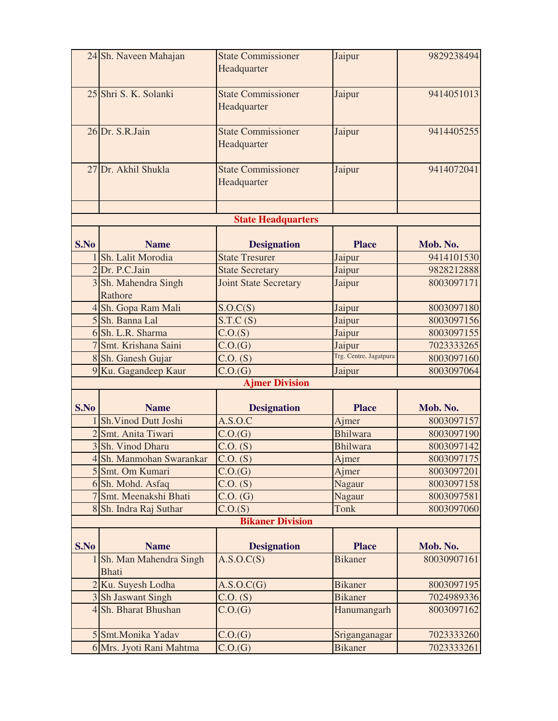|      | 24 Sh. Naveen Mahajan                  | <b>State Commissioner</b><br>Headquarter | Jaipur                 | 9829238494  |
|------|----------------------------------------|------------------------------------------|------------------------|-------------|
|      |                                        |                                          |                        |             |
|      | 25 Shri S. K. Solanki                  | <b>State Commissioner</b><br>Headquarter | Jaipur                 | 9414051013  |
|      | 26 Dr. S.R.Jain                        | <b>State Commissioner</b><br>Headquarter | Jaipur                 | 9414405255  |
|      | 27 Dr. Akhil Shukla                    | <b>State Commissioner</b><br>Headquarter | Jaipur                 | 9414072041  |
|      |                                        | <b>State Headquarters</b>                |                        |             |
| S.No | <b>Name</b>                            | <b>Designation</b>                       | <b>Place</b>           | Mob. No.    |
|      | Sh. Lalit Morodia                      | <b>State Tresurer</b>                    | Jaipur                 | 9414101530  |
|      | 2 Dr. P.C.Jain                         | <b>State Secretary</b>                   | Jaipur                 | 9828212888  |
|      | 3 Sh. Mahendra Singh<br>Rathore        | <b>Joint State Secretary</b>             | Jaipur                 | 8003097171  |
|      | 4 Sh. Gopa Ram Mali                    | S.O.C(S)                                 | Jaipur                 | 8003097180  |
|      | 5 Sh. Banna Lal                        | S.T.C(S)                                 | Jaipur                 | 8003097156  |
|      | 6 Sh. L.R. Sharma                      | C.O.(S)                                  | Jaipur                 | 8003097155  |
|      | 7 Smt. Krishana Saini                  | C.O.(G)                                  | Jaipur                 | 7023333265  |
|      | 8 Sh. Ganesh Gujar                     | $C.O.$ (S)                               | Trg. Centre, Jagatpura | 8003097160  |
|      | 9 Ku. Gagandeep Kaur                   | C.O.(G)                                  | Jaipur                 | 8003097064  |
|      |                                        | <b>Ajmer Division</b>                    |                        |             |
| S.No | <b>Name</b>                            | <b>Designation</b>                       | <b>Place</b>           | Mob. No.    |
|      | Sh. Vinod Dutt Joshi                   | A.S.O.C                                  | Ajmer                  | 8003097157  |
|      | 2 Smt. Anita Tiwari                    | C.O.(G)                                  | <b>Bhilwara</b>        | 8003097190  |
|      | 3 Sh. Vinod Dharu                      | $C.O.$ (S)                               | <b>Bhilwara</b>        | 8003097142  |
|      | 4 Sh. Manmohan Swarankar               | C.O. (S)                                 | Ajmer                  | 8003097175  |
|      | 5 Smt. Om Kumari                       | C.O.(G)                                  | Ajmer                  | 8003097201  |
|      | 6 Sh. Mohd. Asfaq                      | $C.O.$ (S)                               | Nagaur                 | 8003097158  |
|      | 7 Smt. Meenakshi Bhati                 | $C.O.$ (G)                               | Nagaur                 | 8003097581  |
|      | 8 Sh. Indra Raj Suthar                 | C.O.(S)                                  | Tonk                   | 8003097060  |
|      |                                        | <b>Bikaner Division</b>                  |                        |             |
| S.No | <b>Name</b>                            | <b>Designation</b>                       | <b>Place</b>           | Mob. No.    |
|      | Sh. Man Mahendra Singh<br><b>Bhati</b> | A.S.O.C(S)                               | <b>Bikaner</b>         | 80030907161 |
|      | 2 Ku. Suyesh Lodha                     | A.S.O.C(G)                               | <b>Bikaner</b>         | 8003097195  |
|      | 3 Sh Jaswant Singh                     | $C.O.$ (S)                               | <b>Bikaner</b>         | 7024989336  |
|      | 4 Sh. Bharat Bhushan                   | C.O.(G)                                  | Hanumangarh            | 8003097162  |
|      | 5 Smt.Monika Yadav                     | C.O.(G)                                  | Sriganganagar          | 7023333260  |
|      | 6 Mrs. Jyoti Rani Mahtma               | C.O.(G)                                  | <b>Bikaner</b>         | 7023333261  |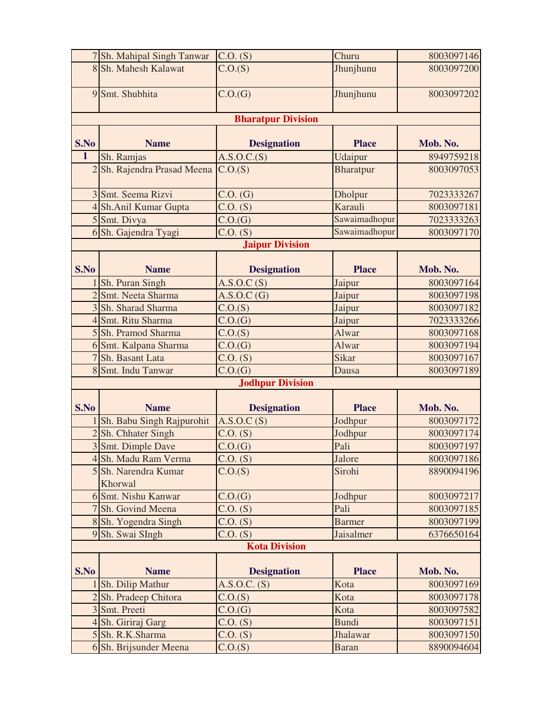|                         | 7 Sh. Mahipal Singh Tanwar      | $C.O.$ (S)               | Churu            | 8003097146 |  |
|-------------------------|---------------------------------|--------------------------|------------------|------------|--|
|                         | 8 Sh. Mahesh Kalawat            | C.O.(S)                  | Jhunjhunu        | 8003097200 |  |
|                         | 9 Smt. Shubhita                 | C.O.(G)                  | Jhunjhunu        | 8003097202 |  |
|                         | <b>Bharatpur Division</b>       |                          |                  |            |  |
| S.No                    | <b>Name</b>                     | <b>Designation</b>       | <b>Place</b>     | Mob. No.   |  |
| $\overline{1}$          | Sh. Ramjas                      | $\overline{A.S.O.C.(S)}$ | Udaipur          | 8949759218 |  |
|                         | 2 Sh. Rajendra Prasad Meena     | C.O.(S)                  | <b>Bharatpur</b> | 8003097053 |  |
|                         | 3 Smt. Seema Rizvi              | $C.O.$ $(G)$             | Dholpur          | 7023333267 |  |
|                         | 4 Sh.Anil Kumar Gupta           | C.O. (S)                 | Karauli          | 8003097181 |  |
|                         | 5 Smt. Divya                    | C.O.(G)                  | Sawaimadhopur    | 7023333263 |  |
|                         | 6 Sh. Gajendra Tyagi            | $C.O.$ (S)               | Sawaimadhopur    | 8003097170 |  |
|                         |                                 | <b>Jaipur Division</b>   |                  |            |  |
| S.No                    | <b>Name</b>                     | <b>Designation</b>       | <b>Place</b>     | Mob. No.   |  |
|                         | Sh. Puran Singh                 | A.S.O.C(S)               | Jaipur           | 8003097164 |  |
|                         | 2 Smt. Neeta Sharma             | A.S.O.C(G)               | Jaipur           | 8003097198 |  |
|                         | 3 Sh. Sharad Sharma             | C.O.(S)                  | Jaipur           | 8003097182 |  |
|                         | 4 Smt. Ritu Sharma              | C.O.(G)                  | Jaipur           | 7023333266 |  |
|                         | 5 Sh. Pramod Sharma             | C.O.(S)                  | Alwar            | 8003097168 |  |
|                         | 6 Smt. Kalpana Sharma           | C.O.(G)                  | Alwar            | 8003097194 |  |
|                         | 7 Sh. Basant Lata               | $C.O.$ (S)               | Sikar            | 8003097167 |  |
|                         | 8 Smt. Indu Tanwar              | C.O.(G)                  | Dausa            | 8003097189 |  |
| <b>Jodhpur Division</b> |                                 |                          |                  |            |  |
| S.No                    | <b>Name</b>                     | <b>Designation</b>       | <b>Place</b>     | Mob. No.   |  |
|                         | Sh. Babu Singh Rajpurohit       | A.S.O.C(S)               | Jodhpur          | 8003097172 |  |
|                         | 2 Sh. Chhater Singh             | $C.O.$ (S)               | Jodhpur          | 8003097174 |  |
|                         | 3 Smt. Dimple Dave              | C.O.(G)                  | Pali             | 8003097197 |  |
|                         | 4 Sh. Madu Ram Verma            | $\overline{C}$ . $(S)$   | Jalore           | 8003097186 |  |
|                         | 5 Sh. Narendra Kumar<br>Khorwal | C.O.(S)                  | Sirohi           | 8890094196 |  |
|                         | 6 Smt. Nishu Kanwar             | C.O.(G)                  | Jodhpur          | 8003097217 |  |
|                         | 7 Sh. Govind Meena              | $C.O.$ (S)               | Pali             | 8003097185 |  |
|                         | 8 Sh. Yogendra Singh            | $C.O.$ (S)               | <b>Barmer</b>    | 8003097199 |  |
|                         | 9 Sh. Swai SIngh                | C.O. (S)                 | Jaisalmer        | 6376650164 |  |
|                         | <b>Kota Division</b>            |                          |                  |            |  |
|                         |                                 |                          |                  |            |  |
| S.No                    | <b>Name</b>                     | <b>Designation</b>       | <b>Place</b>     | Mob. No.   |  |
|                         | Sh. Dilip Mathur                | A.S.O.C. (S)             | Kota             | 8003097169 |  |
|                         | 2 Sh. Pradeep Chitora           | C.O.(S)                  | Kota             | 8003097178 |  |
|                         | 3 Smt. Preeti                   | C.O.(G)                  | Kota             | 8003097582 |  |
|                         | 4 Sh. Giriraj Garg              | $C.O.$ (S)               | <b>Bundi</b>     | 8003097151 |  |
|                         | 5 Sh. R.K.Sharma                | $C.0.$ (S)               | Jhalawar         | 8003097150 |  |
|                         | 6 Sh. Brijsunder Meena          | C.O.(S)                  | <b>Baran</b>     | 8890094604 |  |